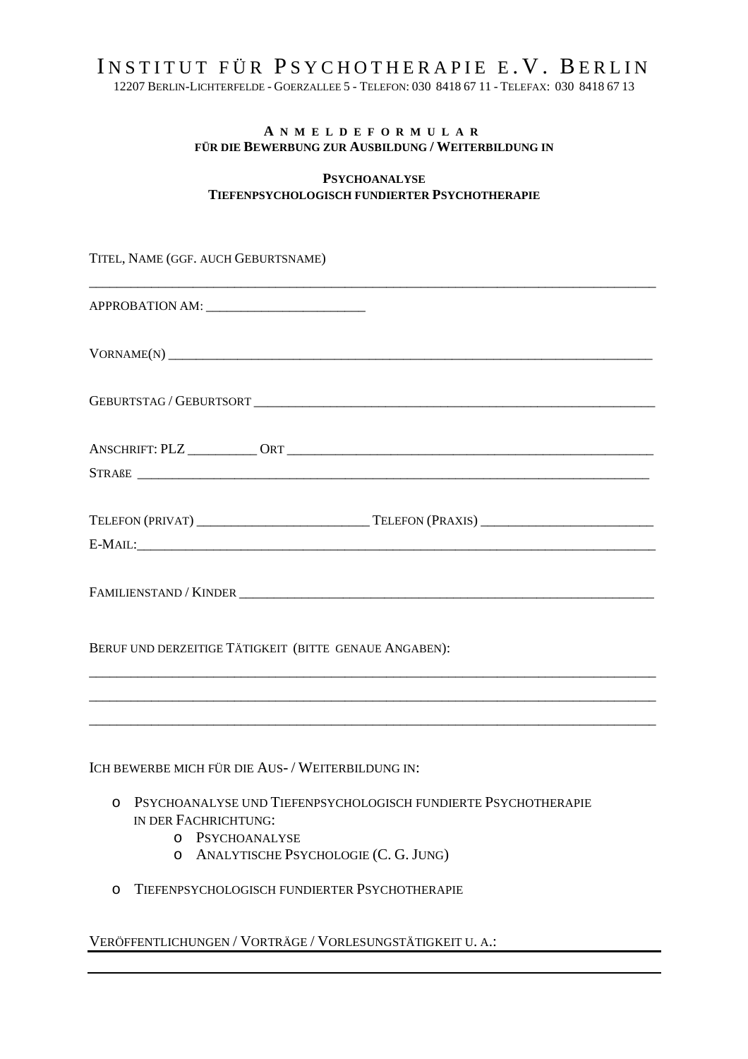## INSTITUT FÜR PSYCHOTHERAPIE E.V. BERLIN

12207 BERLIN-LICHTERFELDE - GOERZALLEE 5 - TELEFON: 030 8418 67 11 - TELEFAX: 030 8418 67 13

## **A N M E L D E F O R M U L A R FÜR DIE BEWERBUNG ZUR AUSBILDUNG / WEITERBILDUNG IN**

## **PSYCHOANALYSE TIEFENPSYCHOLOGISCH FUNDIERTER PSYCHOTHERAPIE**

TITEL, NAME (GGF. AUCH GEBURTSNAME)

| $VORMAME(N) \n\nVORMAME(N) \n\nVORMAME(N) \n\nVORMAME(N) \n\nVORMAME(N) \n\nVORMAME(N) \n\nVORMAME(N) \n\nVORMAME(N) \n\nVORMAME(N) \n\nVORMAME(N) \n\nVORMAME(N) \n\nVORMAME(N) \n\nV}{V}{V}{V}{V}{V}{V} \n\nV\\$ |
|--------------------------------------------------------------------------------------------------------------------------------------------------------------------------------------------------------------------|
|                                                                                                                                                                                                                    |
|                                                                                                                                                                                                                    |
| E-MAIL: E-MAIL:                                                                                                                                                                                                    |
|                                                                                                                                                                                                                    |

BERUF UND DERZEITIGE TÄTIGKEIT (BITTE GENAUE ANGABEN):

ICH BEWERBE MICH FÜR DIE AUS- / WEITERBILDUNG IN:

o PSYCHOANALYSE UND TIEFENPSYCHOLOGISCH FUNDIERTE PSYCHOTHERAPIE IN DER FACHRICHTUNG:

\_\_\_\_\_\_\_\_\_\_\_\_\_\_\_\_\_\_\_\_\_\_\_\_\_\_\_\_\_\_\_\_\_\_\_\_\_\_\_\_\_\_\_\_\_\_\_\_\_\_\_\_\_\_\_\_\_\_\_\_\_\_\_\_\_\_\_\_\_\_\_\_\_\_\_\_\_\_\_\_\_\_ \_\_\_\_\_\_\_\_\_\_\_\_\_\_\_\_\_\_\_\_\_\_\_\_\_\_\_\_\_\_\_\_\_\_\_\_\_\_\_\_\_\_\_\_\_\_\_\_\_\_\_\_\_\_\_\_\_\_\_\_\_\_\_\_\_\_\_\_\_\_\_\_\_\_\_\_\_\_\_\_\_\_ \_\_\_\_\_\_\_\_\_\_\_\_\_\_\_\_\_\_\_\_\_\_\_\_\_\_\_\_\_\_\_\_\_\_\_\_\_\_\_\_\_\_\_\_\_\_\_\_\_\_\_\_\_\_\_\_\_\_\_\_\_\_\_\_\_\_\_\_\_\_\_\_\_\_\_\_\_\_\_\_\_\_

- o PSYCHOANALYSE
- o ANALYTISCHE PSYCHOLOGIE (C. G. JUNG)
- o TIEFENPSYCHOLOGISCH FUNDIERTER PSYCHOTHERAPIE

VERÖFFENTLICHUNGEN / VORTRÄGE / VORLESUNGSTÄTIGKEIT U. A.: